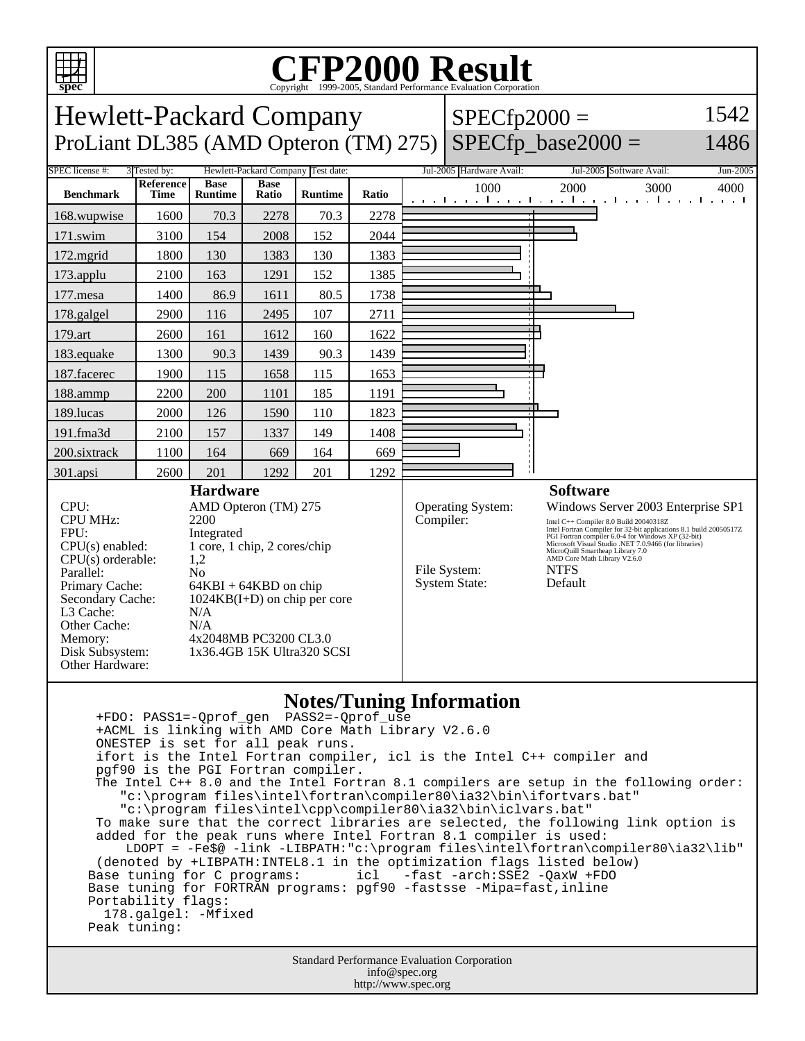

## **Notes/Tuning Information**

 +FDO: PASS1=-Qprof\_gen PASS2=-Qprof\_use +ACML is linking with AMD Core Math Library V2.6.0 ONESTEP is set for all peak runs. ifort is the Intel Fortran compiler, icl is the Intel C++ compiler and pgf90 is the PGI Fortran compiler. The Intel C++ 8.0 and the Intel Fortran 8.1 compilers are setup in the following order: "c:\program files\intel\fortran\compiler80\ia32\bin\ifortvars.bat" "c:\program files\intel\cpp\compiler80\ia32\bin\iclvars.bat" To make sure that the correct libraries are selected, the following link option is added for the peak runs where Intel Fortran 8.1 compiler is used: LDOPT = -Fe\$@ -link -LIBPATH:"c:\program files\intel\fortran\compiler80\ia32\lib" (denoted by +LIBPATH:INTEL8.1 in the optimization flags listed below)<br>Base tuning for C programs: icl -fast -arch:SSE2 -QaxW +FDO icl -fast -arch:SSE2 -QaxW +FDO Base tuning for FORTRAN programs: pgf90 -fastsse -Mipa=fast,inline Portability flags: 178.galgel: -Mfixed Peak tuning:

> Standard Performance Evaluation Corporation info@spec.org http://www.spec.org